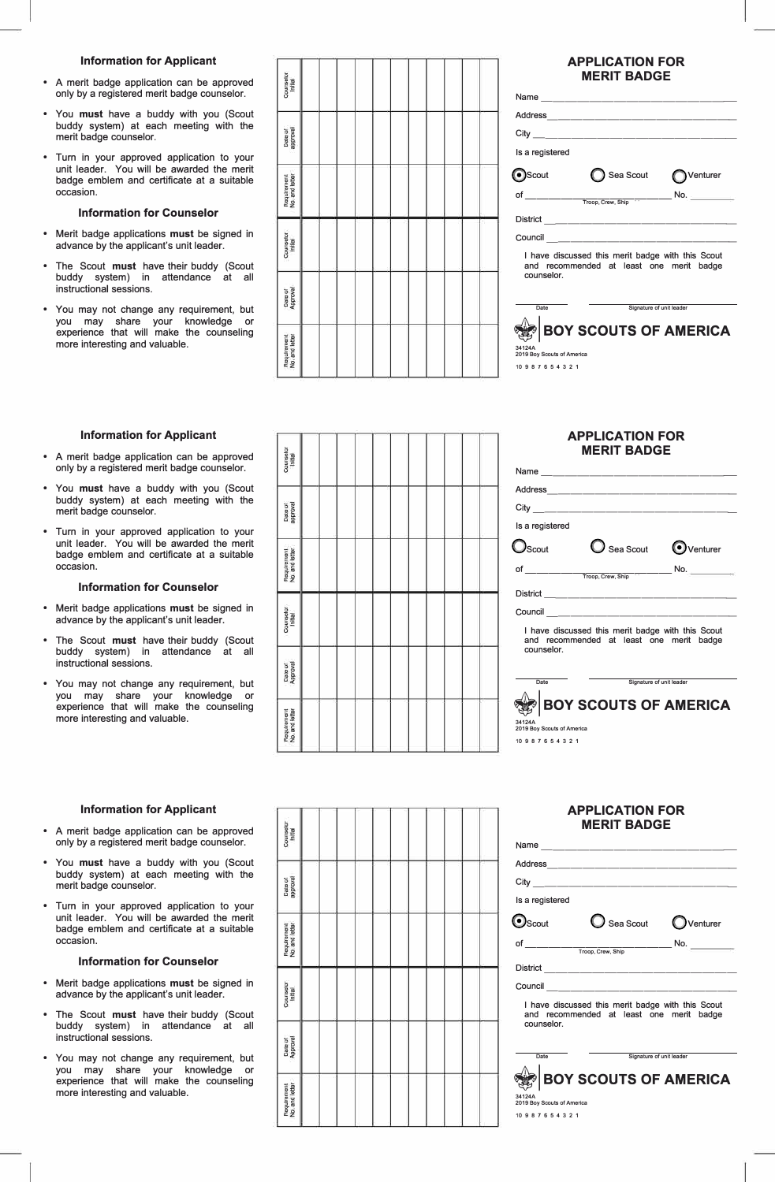# **Information for Applicant**

- **A merit badge application can be approved only by a registered merit badge counselor.**
- **You must have a buddy with you (Scout buddy system) at each meeting with the merit badge counselor.**
- **Turn in your approved application to your unit leader. You will be awarded the merit badge emblem and certificate at a suitable occasion.**

# **Information for Counselor**

- **Merit badge applications must be signed in advance by the applicant's unit leader.**
- **The Scout must have their buddy (Scout buddy system) in attendance at all instructional sessions.**
- **You may not change any requirement, but you may share your knowledge or experience that will make the counseling more interesting and valuable.**

| Counselor<br>Initial          |  |  |  |  |  |  |
|-------------------------------|--|--|--|--|--|--|
| Date of<br>approval           |  |  |  |  |  |  |
| Requirement<br>No. and letter |  |  |  |  |  |  |
| Counselor<br>Initial          |  |  |  |  |  |  |
| Date of<br>Approval           |  |  |  |  |  |  |
| Requirement<br>No. and letter |  |  |  |  |  |  |

# **APPLICATION FOR MERIT BADGE**

|                                                                                                             | Name <u>____________</u> _____ |          |  |  |  |  |
|-------------------------------------------------------------------------------------------------------------|--------------------------------|----------|--|--|--|--|
|                                                                                                             |                                |          |  |  |  |  |
|                                                                                                             |                                |          |  |  |  |  |
| Is a registered                                                                                             |                                |          |  |  |  |  |
| Scout                                                                                                       | Sea Scout                      | Venturer |  |  |  |  |
| of                                                                                                          | Troop, Crew, Ship              | No.      |  |  |  |  |
|                                                                                                             | District ___________________   |          |  |  |  |  |
|                                                                                                             | Council __________________     |          |  |  |  |  |
| I have discussed this merit badge with this Scout<br>and recommended at least one merit badge<br>counselor. |                                |          |  |  |  |  |
| Date<br>Signature of unit leader                                                                            |                                |          |  |  |  |  |
| 34124A<br>2019 Boy Scouts of America<br>10 9 8 7 6 5 4 3 2 1                                                | <b>BOY SCOUTS OF AMERICA</b>   |          |  |  |  |  |
|                                                                                                             |                                |          |  |  |  |  |